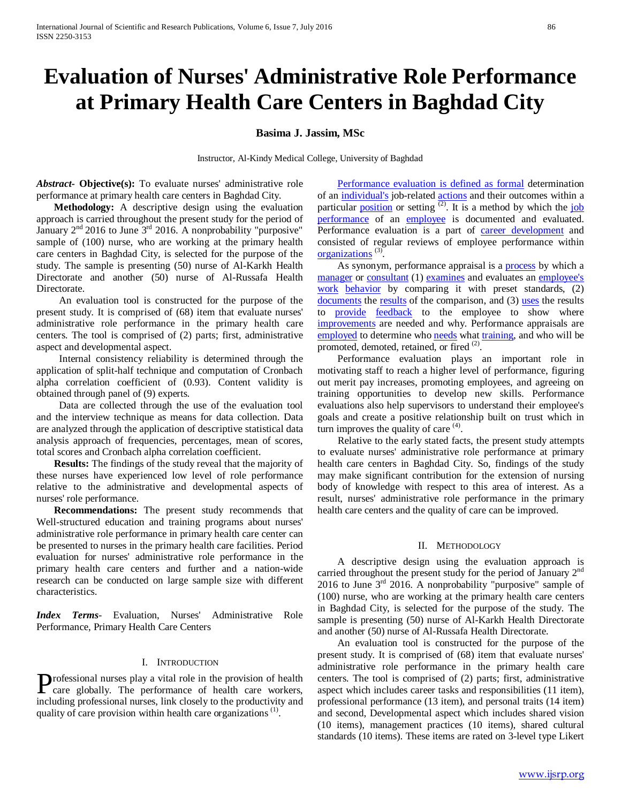# **Evaluation of Nurses' Administrative Role Performance at Primary Health Care Centers in Baghdad City**

## **Basima J. Jassim, MSc**

Instructor, Al-Kindy Medical College, University of Baghdad

*Abstract***- Objective(s):** To evaluate nurses' administrative role performance at primary health care centers in Baghdad City.

 **Methodology:** A descriptive design using the evaluation approach is carried throughout the present study for the period of January 2<sup>nd</sup> 2016 to June 3<sup>rd</sup> 2016. A nonprobability "purposive" sample of (100) nurse, who are working at the primary health care centers in Baghdad City, is selected for the purpose of the study. The sample is presenting (50) nurse of Al-Karkh Health Directorate and another (50) nurse of Al-Russafa Health Directorate.

An evaluation tool is constructed for the purpose of the present study. It is comprised of (68) item that evaluate nurses' administrative role performance in the primary health care centers. The tool is comprised of (2) parts; first, administrative aspect and developmental aspect.

 Internal consistency reliability is determined through the application of split-half technique and computation of Cronbach alpha correlation coefficient of (0.93). Content validity is obtained through panel of (9) experts.

 Data are collected through the use of the evaluation tool and the interview technique as means for data collection. Data are analyzed through the application of descriptive statistical data analysis approach of frequencies, percentages, mean of scores, total scores and Cronbach alpha correlation coefficient.

 **Results:** The findings of the study reveal that the majority of these nurses have experienced low level of role performance relative to the administrative and developmental aspects of nurses' role performance.

 **Recommendations:** The present study recommends that Well-structured education and training programs about nurses' administrative role performance in primary health care center can be presented to nurses in the primary health care facilities. Period evaluation for nurses' administrative role performance in the primary health care centers and further and a nation-wide research can be conducted on large sample size with different characteristics.

*Index Terms*- Evaluation, Nurses' Administrative Role Performance, Primary Health Care Centers

#### I. INTRODUCTION

rofessional nurses play a vital role in the provision of health **Professional nurses play a vital role in the provision of health**<br>care globally. The performance of health care workers,<br>including professional nurses, link also lated the preductivity of including professional nurses, link closely to the productivity and quality of care provision within health care organizations<sup>(1)</sup>.

**[Performance evaluation is defined as formal](http://www.businessdictionary.com/definition/formal.html) determination** of an *[individual's](http://www.businessdictionary.com/definition/individual.html)* job-related *[actions](http://www.businessdictionary.com/definition/action.html)* and their outcomes within a particular **<u>[position](http://www.businessdictionary.com/definition/position.html)</u>** or setting <sup>(2)</sup>. It is a method by which the *iob* [performance](https://en.wikipedia.org/wiki/Job_performance) of an *[employee](https://en.wikipedia.org/wiki/Employee)* is documented and evaluated. Performance evaluation is a part of *career* development and consisted of regular reviews of employee performance within *<u><i><u>Properions</u>*  $(3)$ *P*.</u>

As synonym, performance appraisal is a **[process](http://www.businessdictionary.com/definition/process.html)** by which a *<u>2TU</u>*<sub>2</sub> <u>*2TU</del><sub>2</sub> 2TU<sub>2</sub> <i>2TU*<sub>2</sub> *AU*<sub>2</sub> *AU*<sub>2</sub> *AU*<sub>2</sub> *AU*<sub>2</sub> *AU*<sub>2</sub> *AU*<sub>2</sub> *AU*<sub>2</sub> *AU*<sub>2</sub> *AU*<sub>2</sub> *AU*<sub>2</sub> *AU*<sub>2</sub> *AU*<sub>2</sub> *AU*<sub>2</sub> *AU*<sub>2</sub> *AU*<sub>2</sub> *AU*<sub>2</sub> *AU*<sub>2</sub> *AU*<sub>2</sub> *AU*<sub>4</sub> *AU*<sub>2</sub> *AU*<sub>4</sub> *AU*<sub>4</sub> *AU*<sub>4</sub></u> *zuork [behavior](http://www.businessdictionary.com/definition/behavior.html) by comparing it with preset standards, (2) 2*Du[documents](http://www.businessdictionary.com/definition/documents.html) the *<u>[results](http://www.businessdictionary.com/definition/result.html)</u>* of the comparison, and (3) <u>[uses](http://www.businessdictionary.com/definition/use.html)</u> the results to **[provide](http://www.businessdictionary.com/definition/provide.html)** *[feedback](http://www.businessdictionary.com/definition/feedback.html)* to the employee to show where *[improvements](http://www.businessdictionary.com/definition/improvements.html)* are needed and why. Performance appraisals are *2TUD* [employed](http://www.businessdictionary.com/definition/employment.html) to determine who *[needs](http://www.businessdictionary.com/definition/need.html)* what *[training](http://www.businessdictionary.com/definition/training.html)*, and who will be promoted, demoted, retained, or fired <sup>(2)</sup>.

 Performance evaluation plays an important role in motivating staff to reach a higher level of performance, figuring out merit pay increases, promoting employees, and agreeing on training opportunities to develop new skills. Performance evaluations also help supervisors to understand their employee's goals and create a positive relationship built on trust which in turn improves the quality of care <sup>(4)</sup>.

 Relative to the early stated facts, the present study attempts to evaluate nurses' administrative role performance at primary health care centers in Baghdad City. So, findings of the study may make significant contribution for the extension of nursing body of knowledge with respect to this area of interest. As a result, nurses' administrative role performance in the primary health care centers and the quality of care can be improved.

#### II. METHODOLOGY

 A descriptive design using the evaluation approach is carried throughout the present study for the period of January 2<sup>nd</sup> 2016 to June 3<sup>rd</sup> 2016. A nonprobability "purposive" sample of (100) nurse, who are working at the primary health care centers in Baghdad City, is selected for the purpose of the study. The sample is presenting (50) nurse of Al-Karkh Health Directorate and another (50) nurse of Al-Russafa Health Directorate.

 An evaluation tool is constructed for the purpose of the present study. It is comprised of (68) item that evaluate nurses' administrative role performance in the primary health care centers. The tool is comprised of (2) parts; first, administrative aspect which includes career tasks and responsibilities (11 item), professional performance (13 item), and personal traits (14 item) and second, Developmental aspect which includes shared vision (10 items), management practices (10 items), shared cultural standards (10 items). These items are rated on 3-level type Likert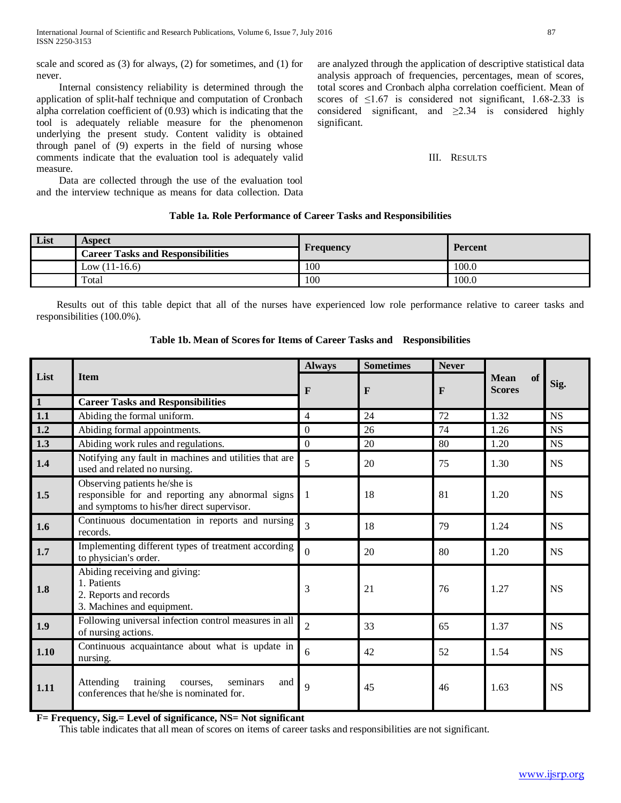scale and scored as (3) for always, (2) for sometimes, and (1) for never.

 Internal consistency reliability is determined through the application of split-half technique and computation of Cronbach alpha correlation coefficient of (0.93) which is indicating that the tool is adequately reliable measure for the phenomenon underlying the present study. Content validity is obtained through panel of (9) experts in the field of nursing whose comments indicate that the evaluation tool is adequately valid measure.

 Data are collected through the use of the evaluation tool and the interview technique as means for data collection. Data are analyzed through the application of descriptive statistical data analysis approach of frequencies, percentages, mean of scores, total scores and Cronbach alpha correlation coefficient. Mean of scores of  $\leq$ 1.67 is considered not significant, 1.68-2.33 is considered significant, and  $\geq 2.34$  is considered highly significant.

## III. RESULTS

# **Table 1a. Role Performance of Career Tasks and Responsibilities**

| List | <b>Aspect</b>                            | <b>Frequency</b> | <b>Percent</b> |  |
|------|------------------------------------------|------------------|----------------|--|
|      | <b>Career Tasks and Responsibilities</b> |                  |                |  |
|      | Low $(11-16.6)$                          | 100              | 100.0          |  |
|      | Total                                    | 100              | 100.0          |  |

 Results out of this table depict that all of the nurses have experienced low role performance relative to career tasks and responsibilities (100.0%).

|                |                                                                                                                                | <b>Always</b>            | <b>Sometimes</b> | <b>Never</b> |                                           |           |
|----------------|--------------------------------------------------------------------------------------------------------------------------------|--------------------------|------------------|--------------|-------------------------------------------|-----------|
| List           | <b>Item</b>                                                                                                                    | F                        | $\mathbf{F}$     | $\mathbf{F}$ | <b>Mean</b><br><b>of</b><br><b>Scores</b> | Sig.      |
| $\overline{1}$ | <b>Career Tasks and Responsibilities</b>                                                                                       |                          |                  |              |                                           |           |
| 1.1            | Abiding the formal uniform.                                                                                                    | $\overline{4}$           | 24               | 72           | 1.32                                      | <b>NS</b> |
| 1.2            | Abiding formal appointments.                                                                                                   | $\mathbf{0}$             | 26               | 74           | 1.26                                      | <b>NS</b> |
| 1.3            | Abiding work rules and regulations.                                                                                            | $\overline{0}$           | 20               | 80           | 1.20                                      | <b>NS</b> |
| 1.4            | Notifying any fault in machines and utilities that are<br>used and related no nursing.                                         | $\overline{\phantom{0}}$ | 20               | 75           | 1.30                                      | <b>NS</b> |
| 1.5            | Observing patients he/she is<br>responsible for and reporting any abnormal signs<br>and symptoms to his/her direct supervisor. |                          | 18               | 81           | 1.20                                      | <b>NS</b> |
| 1.6            | Continuous documentation in reports and nursing<br>records.                                                                    | $\overline{\mathcal{L}}$ | 18               | 79           | 1.24                                      | <b>NS</b> |
| 1.7            | Implementing different types of treatment according<br>to physician's order.                                                   | $\Omega$                 | 20               | 80           | 1.20                                      | <b>NS</b> |
| 1.8            | Abiding receiving and giving:<br>1. Patients<br>2. Reports and records<br>3. Machines and equipment.                           | 3                        | 21               | 76           | 1.27                                      | <b>NS</b> |
| 1.9            | Following universal infection control measures in all<br>of nursing actions.                                                   | $\overline{2}$           | 33               | 65           | 1.37                                      | <b>NS</b> |
| 1.10           | Continuous acquaintance about what is update in<br>nursing.                                                                    | 6                        | 42               | 52           | 1.54                                      | <b>NS</b> |
| 1.11           | training<br>Attending<br>seminars<br>courses,<br>and<br>conferences that he/she is nominated for.                              | $\mathbf Q$              | 45               | 46           | 1.63                                      | <b>NS</b> |

**Table 1b. Mean of Scores for Items of Career Tasks and Responsibilities**

**F= Frequency, Sig.= Level of significance, NS= Not significant**

This table indicates that all mean of scores on items of career tasks and responsibilities are not significant.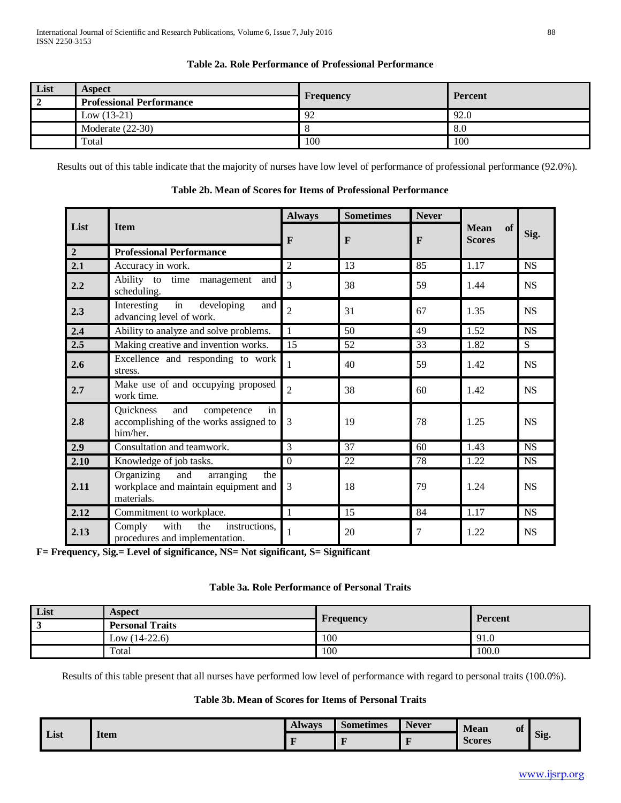# **Table 2a. Role Performance of Professional Performance**

| List | <b>Aspect</b>                   | <b>Frequency</b> | <b>Percent</b> |  |
|------|---------------------------------|------------------|----------------|--|
|      | <b>Professional Performance</b> |                  |                |  |
|      | Low $(13-21)$                   | 92               | 92.0           |  |
|      | Moderate $(22-30)$              |                  | 8.0            |  |
|      | Total                           | 100              | 100            |  |

Results out of this table indicate that the majority of nurses have low level of performance of professional performance (92.0%).

|                |                                                                                             | <b>Always</b>  | <b>Sometimes</b> | <b>Never</b>   | <b>Mean</b><br>of<br><b>Scores</b> |           |
|----------------|---------------------------------------------------------------------------------------------|----------------|------------------|----------------|------------------------------------|-----------|
| List           | <b>Item</b>                                                                                 | F              | $\mathbf{F}$     | $\mathbf{F}$   |                                    | Sig.      |
| $\overline{2}$ | <b>Professional Performance</b>                                                             |                |                  |                |                                    |           |
| 2.1            | Accuracy in work.                                                                           | $\overline{2}$ | 13               | 85             | 1.17                               | <b>NS</b> |
| 2.2            | Ability to time management<br>and<br>scheduling.                                            | 3              | 38               | 59             | 1.44                               | <b>NS</b> |
| 2.3            | in<br>developing<br>Interesting<br>and<br>advancing level of work.                          | $\overline{2}$ | 31               | 67             | 1.35                               | <b>NS</b> |
| 2.4            | Ability to analyze and solve problems.                                                      | 1              | 50               | 49             | 1.52                               | <b>NS</b> |
| 2.5            | Making creative and invention works.                                                        | 15             | 52               | 33             | 1.82                               | S         |
| 2.6            | Excellence and responding to work<br>stress.                                                | 1              | 40               | 59             | 1.42                               | NS        |
| 2.7            | Make use of and occupying proposed<br>work time.                                            | $\overline{2}$ | 38               | 60             | 1.42                               | <b>NS</b> |
| 2.8            | in<br>Quickness<br>and<br>competence<br>accomplishing of the works assigned to<br>him/her.  | 3              | 19               | 78             | 1.25                               | NS        |
| 2.9            | Consultation and teamwork.                                                                  | 3              | 37               | 60             | 1.43                               | <b>NS</b> |
| 2.10           | Knowledge of job tasks.                                                                     | $\overline{0}$ | 22               | 78             | 1.22                               | <b>NS</b> |
| 2.11           | Organizing<br>and<br>arranging<br>the<br>workplace and maintain equipment and<br>materials. | 3              | 18               | 79             | 1.24                               | NS        |
| 2.12           | Commitment to workplace.                                                                    | $\mathbf{1}$   | 15               | 84             | 1.17                               | <b>NS</b> |
| 2.13           | with<br>Comply<br>the<br>instructions.<br>procedures and implementation.                    | 1              | 20               | $\overline{7}$ | 1.22                               | <b>NS</b> |

**Table 2b. Mean of Scores for Items of Professional Performance**

**F= Frequency, Sig.= Level of significance, NS= Not significant, S= Significant**

# **Table 3a. Role Performance of Personal Traits**

| List | Aspect                 |                  |         |
|------|------------------------|------------------|---------|
|      | <b>Personal Traits</b> | <b>Frequency</b> | Percent |
|      | Low $(14-22.6)$        | 100              | 91.0    |
|      | Total                  | 100              | 100.0   |

Results of this table present that all nurses have performed low level of performance with regard to personal traits (100.0%).

# **Table 3b. Mean of Scores for Items of Personal Traits**

| List |             | <b>Always</b> | <b>Sometimes</b> | <b>Never</b> | Mean<br>of    |      |
|------|-------------|---------------|------------------|--------------|---------------|------|
|      | <b>Item</b> |               |                  |              | <b>Scores</b> | Sig. |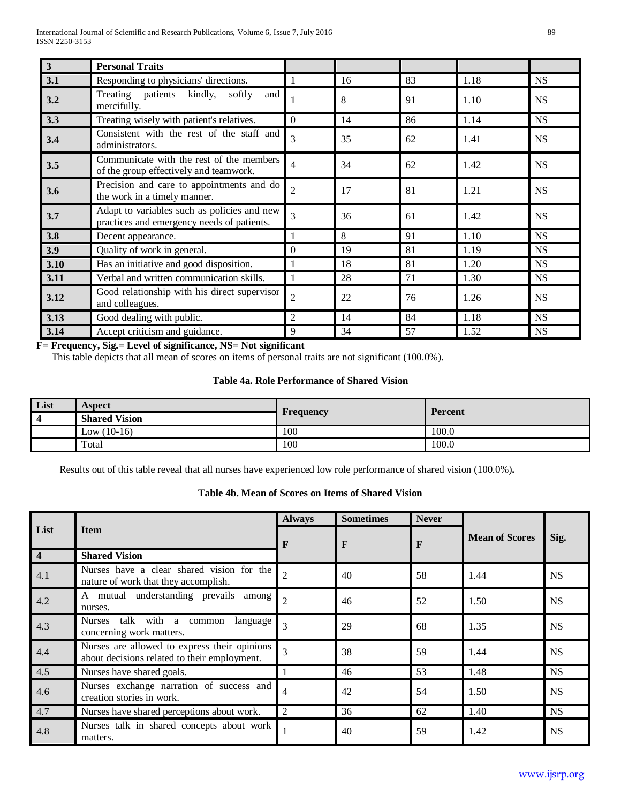| $\overline{3}$ | <b>Personal Traits</b>                                                                    |                |    |    |      |           |
|----------------|-------------------------------------------------------------------------------------------|----------------|----|----|------|-----------|
| 3.1            | Responding to physicians' directions.                                                     |                | 16 | 83 | 1.18 | <b>NS</b> |
| 3.2            | Treating patients kindly, softly<br>and<br>mercifully.                                    |                | 8  | 91 | 1.10 | <b>NS</b> |
| 3.3            | Treating wisely with patient's relatives.                                                 | 0              | 14 | 86 | 1.14 | <b>NS</b> |
| 3.4            | Consistent with the rest of the staff and<br>administrators.                              | 3              | 35 | 62 | 1.41 | <b>NS</b> |
| 3.5            | Communicate with the rest of the members<br>of the group effectively and teamwork.        | 4              | 34 | 62 | 1.42 | <b>NS</b> |
| 3.6            | Precision and care to appointments and do<br>the work in a timely manner.                 | $\overline{2}$ | 17 | 81 | 1.21 | <b>NS</b> |
| 3.7            | Adapt to variables such as policies and new<br>practices and emergency needs of patients. | 3              | 36 | 61 | 1.42 | <b>NS</b> |
| 3.8            | Decent appearance.                                                                        | 1              | 8  | 91 | 1.10 | <b>NS</b> |
| 3.9            | Quality of work in general.                                                               | $\theta$       | 19 | 81 | 1.19 | <b>NS</b> |
| 3.10           | Has an initiative and good disposition.                                                   |                | 18 | 81 | 1.20 | <b>NS</b> |
| 3.11           | Verbal and written communication skills.                                                  |                | 28 | 71 | 1.30 | <b>NS</b> |
| 3.12           | Good relationship with his direct supervisor<br>and colleagues.                           | $\overline{2}$ | 22 | 76 | 1.26 | <b>NS</b> |
| 3.13           | Good dealing with public.                                                                 | 2              | 14 | 84 | 1.18 | <b>NS</b> |
| 3.14           | Accept criticism and guidance.                                                            | 9              | 34 | 57 | 1.52 | <b>NS</b> |

**F= Frequency, Sig.= Level of significance, NS= Not significant**

This table depicts that all mean of scores on items of personal traits are not significant (100.0%).

# **Table 4a. Role Performance of Shared Vision**

| List | Aspect               | <b>Frequency</b> | Percent |  |
|------|----------------------|------------------|---------|--|
|      | <b>Shared Vision</b> |                  |         |  |
|      | Low $(10-16)$        | 100              | 100.0   |  |
|      | Total                | 100              | 100.0   |  |

Results out of this table reveal that all nurses have experienced low role performance of shared vision (100.0%)**.**

# **Table 4b. Mean of Scores on Items of Shared Vision**

|           |                                                                                              | <b>Always</b>  | <b>Sometimes</b> | <b>Never</b> |                       |           |
|-----------|----------------------------------------------------------------------------------------------|----------------|------------------|--------------|-----------------------|-----------|
| List      | <b>Item</b>                                                                                  | F              | F<br>F           |              | <b>Mean of Scores</b> | Sig.      |
| $\vert 4$ | <b>Shared Vision</b>                                                                         |                |                  |              |                       |           |
| 4.1       | Nurses have a clear shared vision for the<br>nature of work that they accomplish.            |                | 40               | 58           | 1.44                  | <b>NS</b> |
| 4.2       | A mutual understanding prevails among<br>nurses.                                             |                | 46               | 52           | 1.50                  | <b>NS</b> |
| 4.3       | talk with<br><b>Nurses</b><br>common<br>language<br>a<br>concerning work matters.            | 3              | 29               | 68           | 1.35                  | <b>NS</b> |
| 4.4       | Nurses are allowed to express their opinions<br>about decisions related to their employment. | 3              | 38               | 59           | 1.44                  | <b>NS</b> |
| 4.5       | Nurses have shared goals.                                                                    |                | 46               | 53           | 1.48                  | <b>NS</b> |
| 4.6       | Nurses exchange narration of success and<br>creation stories in work.                        |                | 42               | 54           | 1.50                  | <b>NS</b> |
| 4.7       | Nurses have shared perceptions about work.                                                   | $\overline{2}$ | 36               | 62           | 1.40                  | <b>NS</b> |
| 4.8       | Nurses talk in shared concepts about work<br>matters.                                        |                | 40               | 59           | 1.42                  | <b>NS</b> |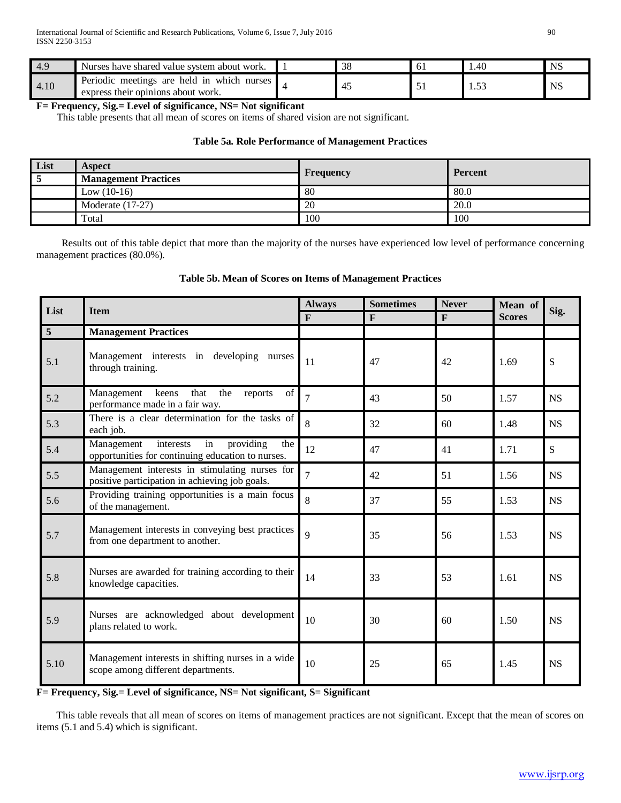| 4.9  | Nurses have shared value system about work.                                              | 38 | ΟI | .40  | N.  |
|------|------------------------------------------------------------------------------------------|----|----|------|-----|
| 4.10 | meetings are held in which .<br>Periodic<br>nurses<br>express their opinions about work. |    |    | 1.JJ | NS. |

**F= Frequency, Sig.= Level of significance, NS= Not significant**

This table presents that all mean of scores on items of shared vision are not significant.

## **Table 5a. Role Performance of Management Practices**

| List | <b>Aspect</b>               | Frequency | <b>Percent</b> |  |
|------|-----------------------------|-----------|----------------|--|
|      | <b>Management Practices</b> |           |                |  |
|      | Low $(10-16)$               | 80        | 80.0           |  |
|      | Moderate $(17-27)$          | 20        | 20.0           |  |
|      | Total                       | 100       | 100            |  |

 Results out of this table depict that more than the majority of the nurses have experienced low level of performance concerning management practices (80.0%).

# **Table 5b. Mean of Scores on Items of Management Practices**

| List            | <b>Item</b>                                                                                            | <b>Always</b>  | <b>Sometimes</b> | <b>Never</b> | Mean of       | Sig.      |
|-----------------|--------------------------------------------------------------------------------------------------------|----------------|------------------|--------------|---------------|-----------|
|                 |                                                                                                        | $\mathbf{F}$   | $\mathbf{F}$     | $\mathbf{F}$ | <b>Scores</b> |           |
| $5\overline{5}$ | <b>Management Practices</b>                                                                            |                |                  |              |               |           |
| 5.1             | Management interests in developing nurses<br>through training.                                         | 11             | 47               | 42           | 1.69          | S         |
| 5.2             | of<br>Management<br>that<br>the<br>keens<br>reports<br>performance made in a fair way.                 | $\overline{7}$ | 43               | 50           | 1.57          | <b>NS</b> |
| 5.3             | There is a clear determination for the tasks of<br>each job.                                           | 8              | 32               | 60           | 1.48          | <b>NS</b> |
| 5.4             | Management<br>interests<br>in<br>providing<br>the<br>opportunities for continuing education to nurses. | 12             | 47               | 41           | 1.71          | S         |
| 5.5             | Management interests in stimulating nurses for<br>positive participation in achieving job goals.       | 7              | 42               | 51           | 1.56          | <b>NS</b> |
| 5.6             | Providing training opportunities is a main focus<br>of the management.                                 | 8              | 37               | 55           | 1.53          | NS        |
| 5.7             | Management interests in conveying best practices<br>from one department to another.                    | 9              | 35               | 56           | 1.53          | <b>NS</b> |
| 5.8             | Nurses are awarded for training according to their<br>knowledge capacities.                            | 14             | 33               | 53           | 1.61          | <b>NS</b> |
| 5.9             | Nurses are acknowledged about development<br>plans related to work.                                    | 10             | 30               | 60           | 1.50          | <b>NS</b> |
| 5.10            | Management interests in shifting nurses in a wide<br>scope among different departments.                | 10             | 25               | 65           | 1.45          | <b>NS</b> |

**F= Frequency, Sig.= Level of significance, NS= Not significant, S= Significant**

 This table reveals that all mean of scores on items of management practices are not significant. Except that the mean of scores on items (5.1 and 5.4) which is significant.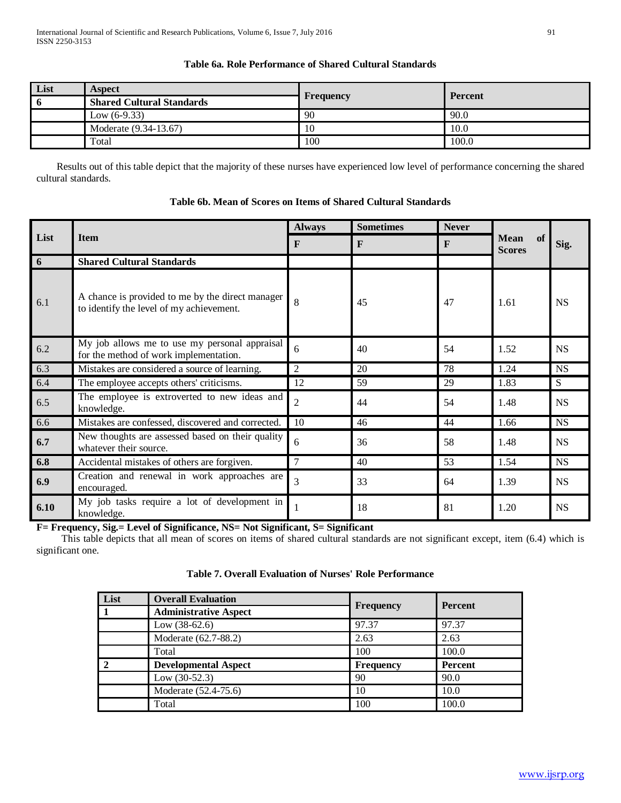# **Table 6a. Role Performance of Shared Cultural Standards**

| List | <b>Aspect</b>                    |                  | <b>Percent</b> |  |
|------|----------------------------------|------------------|----------------|--|
|      | <b>Shared Cultural Standards</b> | <b>Frequency</b> |                |  |
|      | Low $(6-9.33)$                   | 90               | 90.0           |  |
|      | Moderate (9.34-13.67)            | 10               | 10.0           |  |
|      | Total                            | 100              | 100.0          |  |

 Results out of this table depict that the majority of these nurses have experienced low level of performance concerning the shared cultural standards.

| List | <b>Item</b>                                                                                  | <b>Always</b>   | <b>Sometimes</b> | <b>Never</b> | of<br><b>Mean</b><br><b>Scores</b> | Sig.      |
|------|----------------------------------------------------------------------------------------------|-----------------|------------------|--------------|------------------------------------|-----------|
|      |                                                                                              | $\mathbf{F}$    | F                | $\mathbf{F}$ |                                    |           |
| -6   | <b>Shared Cultural Standards</b>                                                             |                 |                  |              |                                    |           |
| 6.1  | A chance is provided to me by the direct manager<br>to identify the level of my achievement. | $\mathbf{8}$    | 45               | 47           | 1.61                               | <b>NS</b> |
| 6.2  | My job allows me to use my personal appraisal<br>for the method of work implementation.      | 6               | 40               | 54           | 1.52                               | <b>NS</b> |
| 6.3  | Mistakes are considered a source of learning.                                                | 2               | 20               | 78           | 1.24                               | <b>NS</b> |
| 6.4  | The employee accepts others' criticisms.                                                     | 12              | 59               | 29           | 1.83                               | S         |
| 6.5  | The employee is extroverted to new ideas and<br>knowledge.                                   | $\overline{2}$  | 44               | 54           | 1.48                               | <b>NS</b> |
| 6.6  | Mistakes are confessed, discovered and corrected.                                            | 10              | 46               | 44           | 1.66                               | <b>NS</b> |
| 6.7  | New thoughts are assessed based on their quality<br>whatever their source.                   | 6               | 36               | 58           | 1.48                               | <b>NS</b> |
| 6.8  | Accidental mistakes of others are forgiven.                                                  | $7\phantom{.0}$ | 40               | 53           | 1.54                               | <b>NS</b> |
| 6.9  | Creation and renewal in work approaches are<br>encouraged.                                   | $\mathcal{E}$   | 33               | 64           | 1.39                               | <b>NS</b> |
| 6.10 | My job tasks require a lot of development in<br>knowledge.                                   |                 | 18               | 81           | 1.20                               | <b>NS</b> |

# **Table 6b. Mean of Scores on Items of Shared Cultural Standards**

**F= Frequency, Sig.= Level of Significance, NS= Not Significant, S= Significant**

 This table depicts that all mean of scores on items of shared cultural standards are not significant except, item (6.4) which is significant one.

| <b>Table 7. Overall Evaluation of Nurses' Role Performance</b> |  |
|----------------------------------------------------------------|--|
|----------------------------------------------------------------|--|

| List | <b>Overall Evaluation</b>    |                  | <b>Percent</b> |  |
|------|------------------------------|------------------|----------------|--|
|      | <b>Administrative Aspect</b> | <b>Frequency</b> |                |  |
|      | Low $(38-62.6)$              | 97.37            | 97.37          |  |
|      | Moderate (62.7-88.2)         | 2.63             | 2.63           |  |
|      | Total                        | 100              | 100.0          |  |
|      | <b>Developmental Aspect</b>  | <b>Frequency</b> | Percent        |  |
|      | Low $(30-52.3)$              | 90               | 90.0           |  |
|      | Moderate (52.4-75.6)         | 10               | 10.0           |  |
|      | Total                        | 100              | 100.0          |  |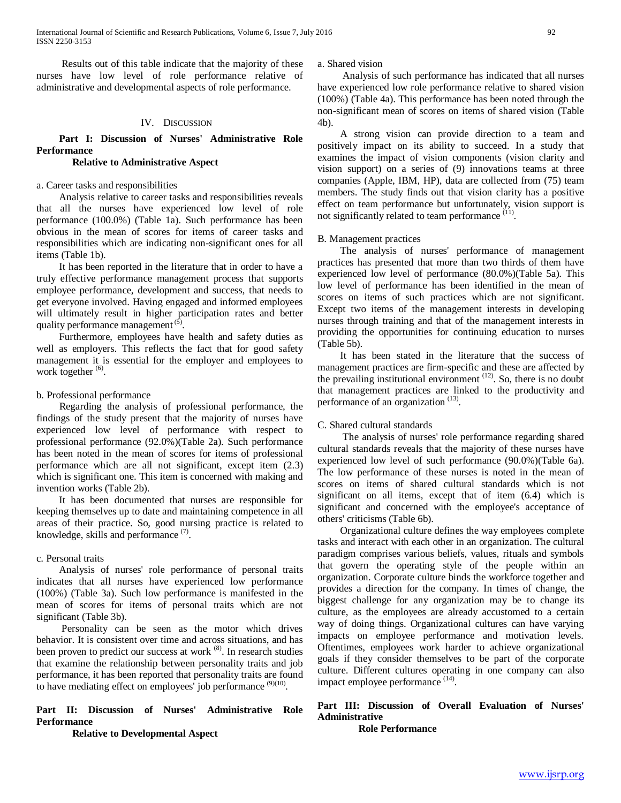International Journal of Scientific and Research Publications, Volume 6, Issue 7, July 2016 92 ISSN 2250-3153

 Results out of this table indicate that the majority of these nurses have low level of role performance relative of administrative and developmental aspects of role performance.

#### IV. DISCUSSION

## **Part I: Discussion of Nurses' Administrative Role Performance**

# **Relative to Administrative Aspect**

## a. Career tasks and responsibilities

 Analysis relative to career tasks and responsibilities reveals that all the nurses have experienced low level of role performance (100.0%) (Table 1a). Such performance has been obvious in the mean of scores for items of career tasks and responsibilities which are indicating non-significant ones for all items (Table 1b).

 It has been reported in the literature that in order to have a truly effective performance management process that supports employee performance, development and success, that needs to get everyone involved. Having engaged and informed employees will ultimately result in higher participation rates and better quality performance management<sup>(5)</sup>.

 Furthermore, employees have health and safety duties as well as employers. This reflects the fact that for good safety management it is essential for the employer and employees to work together <sup>(6)</sup>.

#### b. Professional performance

 Regarding the analysis of professional performance, the findings of the study present that the majority of nurses have experienced low level of performance with respect to professional performance (92.0%)(Table 2a). Such performance has been noted in the mean of scores for items of professional performance which are all not significant, except item (2.3) which is significant one. This item is concerned with making and invention works (Table 2b).

 It has been documented that nurses are responsible for keeping themselves up to date and maintaining competence in all areas of their practice. So, good nursing practice is related to knowledge, skills and performance<sup>(7)</sup>.

#### c. Personal traits

 Analysis of nurses' role performance of personal traits indicates that all nurses have experienced low performance (100%) (Table 3a). Such low performance is manifested in the mean of scores for items of personal traits which are not significant (Table 3b).

 Personality can be seen as the motor which drives behavior. It is consistent over time and across situations, and has been proven to predict our success at work <sup>(8)</sup>. In research studies that examine the relationship between personality traits and job performance, it has been reported that personality traits are found to have mediating effect on employees' job performance <sup>(9)(10)</sup>.

## **Part II: Discussion of Nurses' Administrative Role Performance**

 **Relative to Developmental Aspect**

a. Shared vision

 Analysis of such performance has indicated that all nurses have experienced low role performance relative to shared vision (100%) (Table 4a). This performance has been noted through the non-significant mean of scores on items of shared vision (Table 4b).

 A strong vision can provide direction to a team and positively impact on its ability to succeed. In a study that examines the impact of vision components (vision clarity and vision support) on a series of (9) innovations teams at three companies (Apple, IBM, HP), data are collected from (75) team members. The study finds out that vision clarity has a positive effect on team performance but unfortunately, vision support is not significantly related to team performance <sup>(11)</sup>.

## B. Management practices

 The analysis of nurses' performance of management practices has presented that more than two thirds of them have experienced low level of performance (80.0%)(Table 5a). This low level of performance has been identified in the mean of scores on items of such practices which are not significant. Except two items of the management interests in developing nurses through training and that of the management interests in providing the opportunities for continuing education to nurses (Table 5b).

 It has been stated in the literature that the success of management practices are firm-specific and these are affected by the prevailing institutional environment<sup>(12)</sup>. So, there is no doubt that management practices are linked to the productivity and performance of an organization<sup>(13)</sup>.

#### C. Shared cultural standards

 The analysis of nurses' role performance regarding shared cultural standards reveals that the majority of these nurses have experienced low level of such performance (90.0%)(Table 6a). The low performance of these nurses is noted in the mean of scores on items of shared cultural standards which is not significant on all items, except that of item (6.4) which is significant and concerned with the employee's acceptance of others' criticisms (Table 6b).

 Organizational culture defines the way employees complete tasks and interact with each other in an organization. The cultural paradigm comprises various beliefs, values, rituals and symbols that govern the operating style of the people within an organization. Corporate culture binds the workforce together and provides a direction for the company. In times of change, the biggest challenge for any organization may be to change its culture, as the employees are already accustomed to a certain way of doing things. Organizational cultures can have varying impacts on employee performance and motivation levels. Oftentimes, employees work harder to achieve organizational goals if they consider themselves to be part of the corporate culture. Different cultures operating in one company can also impact employee performance <sup>(14)</sup>.

# **Part III: Discussion of Overall Evaluation of Nurses' Administrative**

 **Role Performance**